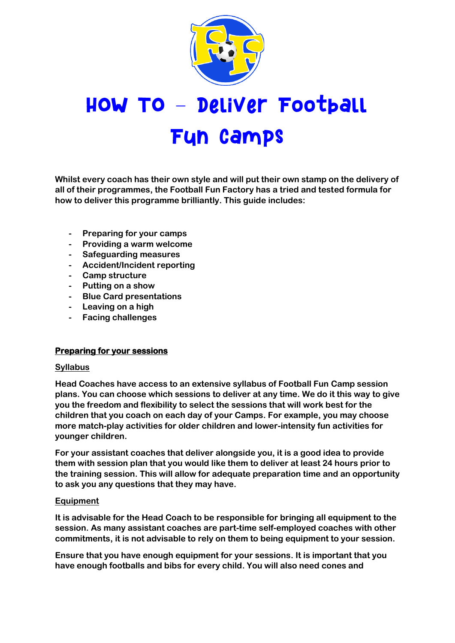

# HOW TO - Deliver Football Fun camps

**Whilst every coach has their own style and will put their own stamp on the delivery of all of their programmes, the Football Fun Factory has a tried and tested formula for how to deliver this programme brilliantly. This guide includes:**

- **- Preparing for your camps**
- **- Providing a warm welcome**
- **- Safeguarding measures**
- **- Accident/Incident reporting**
- **- Camp structure**
- **- Putting on a show**
- **- Blue Card presentations**
- **- Leaving on a high**
- **- Facing challenges**

## **Preparing for your sessions**

#### **Syllabus**

**Head Coaches have access to an extensive syllabus of Football Fun Camp session plans. You can choose which sessions to deliver at any time. We do it this way to give you the freedom and flexibility to select the sessions that will work best for the children that you coach on each day of your Camps. For example, you may choose more match-play activities for older children and lower-intensity fun activities for younger children.**

**For your assistant coaches that deliver alongside you, it is a good idea to provide them with session plan that you would like them to deliver at least 24 hours prior to the training session. This will allow for adequate preparation time and an opportunity to ask you any questions that they may have.**

## **Equipment**

**It is advisable for the Head Coach to be responsible for bringing all equipment to the session. As many assistant coaches are part-time self-employed coaches with other commitments, it is not advisable to rely on them to being equipment to your session.** 

**Ensure that you have enough equipment for your sessions. It is important that you have enough footballs and bibs for every child. You will also need cones and**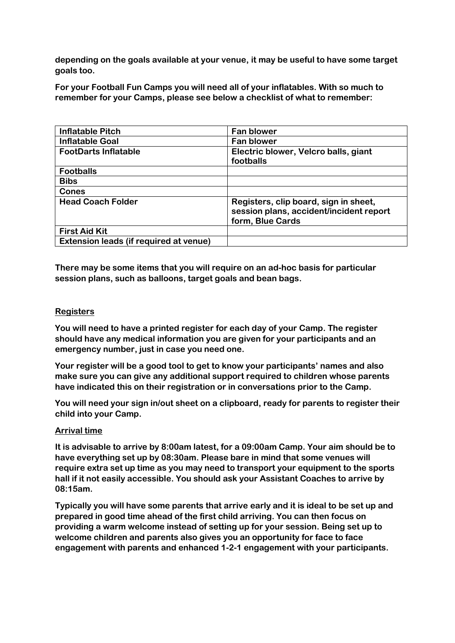**depending on the goals available at your venue, it may be useful to have some target goals too.**

**For your Football Fun Camps you will need all of your inflatables. With so much to remember for your Camps, please see below a checklist of what to remember:**

| <b>Inflatable Pitch</b>                | <b>Fan blower</b>                                                                                    |
|----------------------------------------|------------------------------------------------------------------------------------------------------|
| <b>Inflatable Goal</b>                 | <b>Fan blower</b>                                                                                    |
| <b>FootDarts Inflatable</b>            | Electric blower, Velcro balls, giant                                                                 |
|                                        | footballs                                                                                            |
| <b>Footballs</b>                       |                                                                                                      |
| <b>Bibs</b>                            |                                                                                                      |
| <b>Cones</b>                           |                                                                                                      |
| <b>Head Coach Folder</b>               | Registers, clip board, sign in sheet,<br>session plans, accident/incident report<br>form, Blue Cards |
| <b>First Aid Kit</b>                   |                                                                                                      |
| Extension leads (if required at venue) |                                                                                                      |

**There may be some items that you will require on an ad-hoc basis for particular session plans, such as balloons, target goals and bean bags.**

#### **Registers**

**You will need to have a printed register for each day of your Camp. The register should have any medical information you are given for your participants and an emergency number, just in case you need one.**

**Your register will be a good tool to get to know your participants' names and also make sure you can give any additional support required to children whose parents have indicated this on their registration or in conversations prior to the Camp.**

**You will need your sign in/out sheet on a clipboard, ready for parents to register their child into your Camp.**

#### **Arrival time**

**It is advisable to arrive by 8:00am latest, for a 09:00am Camp. Your aim should be to have everything set up by 08:30am. Please bare in mind that some venues will require extra set up time as you may need to transport your equipment to the sports hall if it not easily accessible. You should ask your Assistant Coaches to arrive by 08:15am.**

**Typically you will have some parents that arrive early and it is ideal to be set up and prepared in good time ahead of the first child arriving. You can then focus on providing a warm welcome instead of setting up for your session. Being set up to welcome children and parents also gives you an opportunity for face to face engagement with parents and enhanced 1-2-1 engagement with your participants.**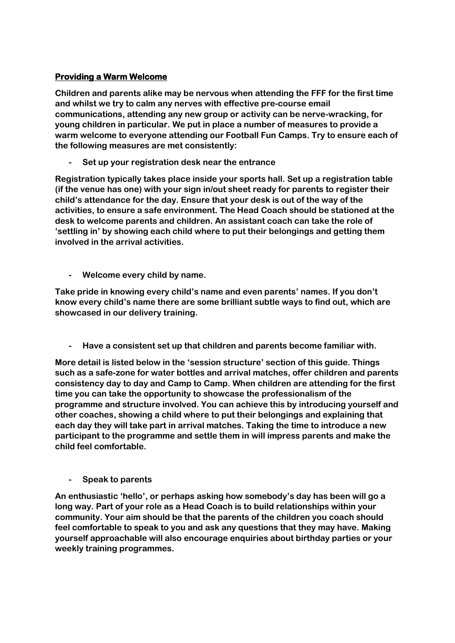# **Providing a Warm Welcome**

**Children and parents alike may be nervous when attending the FFF for the first time and whilst we try to calm any nerves with effective pre-course email communications, attending any new group or activity can be nerve-wracking, for young children in particular. We put in place a number of measures to provide a warm welcome to everyone attending our Football Fun Camps. Try to ensure each of the following measures are met consistently:**

**- Set up your registration desk near the entrance**

**Registration typically takes place inside your sports hall. Set up a registration table (if the venue has one) with your sign in/out sheet ready for parents to register their child's attendance for the day. Ensure that your desk is out of the way of the activities, to ensure a safe environment. The Head Coach should be stationed at the desk to welcome parents and children. An assistant coach can take the role of 'settling in' by showing each child where to put their belongings and getting them involved in the arrival activities.**

**- Welcome every child by name.**

**Take pride in knowing every child's name and even parents' names. If you don't know every child's name there are some brilliant subtle ways to find out, which are showcased in our delivery training.**

**- Have a consistent set up that children and parents become familiar with.**

**More detail is listed below in the 'session structure' section of this guide. Things such as a safe-zone for water bottles and arrival matches, offer children and parents consistency day to day and Camp to Camp. When children are attending for the first time you can take the opportunity to showcase the professionalism of the programme and structure involved. You can achieve this by introducing yourself and other coaches, showing a child where to put their belongings and explaining that each day they will take part in arrival matches. Taking the time to introduce a new participant to the programme and settle them in will impress parents and make the child feel comfortable.**

**- Speak to parents**

**An enthusiastic 'hello', or perhaps asking how somebody's day has been will go a long way. Part of your role as a Head Coach is to build relationships within your community. Your aim should be that the parents of the children you coach should feel comfortable to speak to you and ask any questions that they may have. Making yourself approachable will also encourage enquiries about birthday parties or your weekly training programmes.**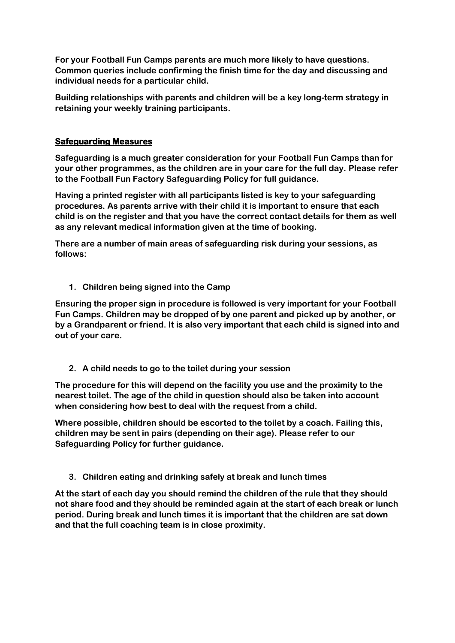**For your Football Fun Camps parents are much more likely to have questions. Common queries include confirming the finish time for the day and discussing and individual needs for a particular child.**

**Building relationships with parents and children will be a key long-term strategy in retaining your weekly training participants.**

#### **Safeguarding Measures**

**Safeguarding is a much greater consideration for your Football Fun Camps than for your other programmes, as the children are in your care for the full day. Please refer to the Football Fun Factory Safeguarding Policy for full guidance.**

**Having a printed register with all participants listed is key to your safeguarding procedures. As parents arrive with their child it is important to ensure that each child is on the register and that you have the correct contact details for them as well as any relevant medical information given at the time of booking.**

**There are a number of main areas of safeguarding risk during your sessions, as follows:**

**1. Children being signed into the Camp**

**Ensuring the proper sign in procedure is followed is very important for your Football Fun Camps. Children may be dropped of by one parent and picked up by another, or by a Grandparent or friend. It is also very important that each child is signed into and out of your care.** 

**2. A child needs to go to the toilet during your session**

**The procedure for this will depend on the facility you use and the proximity to the nearest toilet. The age of the child in question should also be taken into account when considering how best to deal with the request from a child.**

**Where possible, children should be escorted to the toilet by a coach. Failing this, children may be sent in pairs (depending on their age). Please refer to our Safeguarding Policy for further guidance.**

**3. Children eating and drinking safely at break and lunch times**

**At the start of each day you should remind the children of the rule that they should not share food and they should be reminded again at the start of each break or lunch period. During break and lunch times it is important that the children are sat down and that the full coaching team is in close proximity.**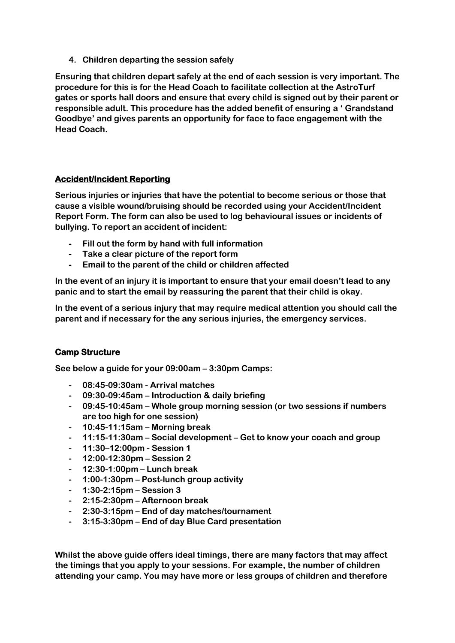**4. Children departing the session safely**

**Ensuring that children depart safely at the end of each session is very important. The procedure for this is for the Head Coach to facilitate collection at the AstroTurf gates or sports hall doors and ensure that every child is signed out by their parent or responsible adult. This procedure has the added benefit of ensuring a ' Grandstand Goodbye' and gives parents an opportunity for face to face engagement with the Head Coach.**

## **Accident/Incident Reporting**

**Serious injuries or injuries that have the potential to become serious or those that cause a visible wound/bruising should be recorded using your Accident/Incident Report Form. The form can also be used to log behavioural issues or incidents of bullying. To report an accident of incident:**

- **- Fill out the form by hand with full information**
- **- Take a clear picture of the report form**
- **- Email to the parent of the child or children affected**

**In the event of an injury it is important to ensure that your email doesn't lead to any panic and to start the email by reassuring the parent that their child is okay.**

**In the event of a serious injury that may require medical attention you should call the parent and if necessary for the any serious injuries, the emergency services.**

## **Camp Structure**

**See below a guide for your 09:00am – 3:30pm Camps:** 

- **- 08:45-09:30am - Arrival matches**
- **- 09:30-09:45am – Introduction & daily briefing**
- **- 09:45-10:45am – Whole group morning session (or two sessions if numbers are too high for one session)**
- **- 10:45-11:15am – Morning break**
- **- 11:15-11:30am – Social development – Get to know your coach and group**
- **- 11:30–12:00pm - Session 1**
- **- 12:00-12:30pm – Session 2**
- **- 12:30-1:00pm – Lunch break**
- **- 1:00-1:30pm – Post-lunch group activity**
- **- 1:30-2:15pm – Session 3**
- **- 2:15-2:30pm – Afternoon break**
- **- 2:30-3:15pm – End of day matches/tournament**
- **- 3:15-3:30pm – End of day Blue Card presentation**

**Whilst the above guide offers ideal timings, there are many factors that may affect the timings that you apply to your sessions. For example, the number of children attending your camp. You may have more or less groups of children and therefore**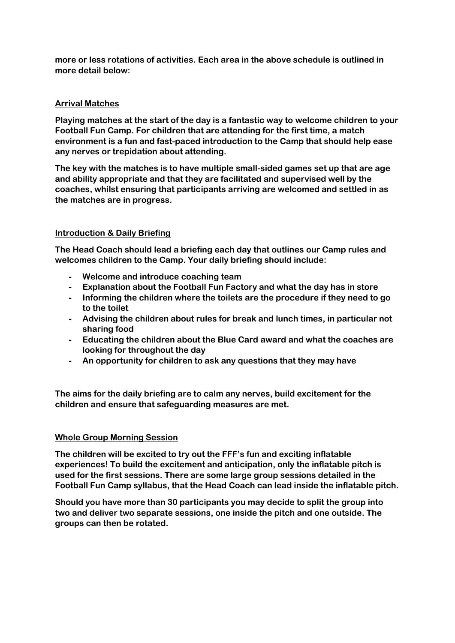**more or less rotations of activities. Each area in the above schedule is outlined in more detail below:**

#### **Arrival Matches**

**Playing matches at the start of the day is a fantastic way to welcome children to your Football Fun Camp. For children that are attending for the first time, a match environment is a fun and fast-paced introduction to the Camp that should help ease any nerves or trepidation about attending.**

**The key with the matches is to have multiple small-sided games set up that are age and ability appropriate and that they are facilitated and supervised well by the coaches, whilst ensuring that participants arriving are welcomed and settled in as the matches are in progress.**

#### **Introduction & Daily Briefing**

**The Head Coach should lead a briefing each day that outlines our Camp rules and welcomes children to the Camp. Your daily briefing should include:**

- **- Welcome and introduce coaching team**
- **- Explanation about the Football Fun Factory and what the day has in store**
- **- Informing the children where the toilets are the procedure if they need to go to the toilet**
- **- Advising the children about rules for break and lunch times, in particular not sharing food**
- **- Educating the children about the Blue Card award and what the coaches are looking for throughout the day**
- **- An opportunity for children to ask any questions that they may have**

**The aims for the daily briefing are to calm any nerves, build excitement for the children and ensure that safeguarding measures are met.**

#### **Whole Group Morning Session**

**The children will be excited to try out the FFF's fun and exciting inflatable experiences! To build the excitement and anticipation, only the inflatable pitch is used for the first sessions. There are some large group sessions detailed in the Football Fun Camp syllabus, that the Head Coach can lead inside the inflatable pitch.**

**Should you have more than 30 participants you may decide to split the group into two and deliver two separate sessions, one inside the pitch and one outside. The groups can then be rotated.**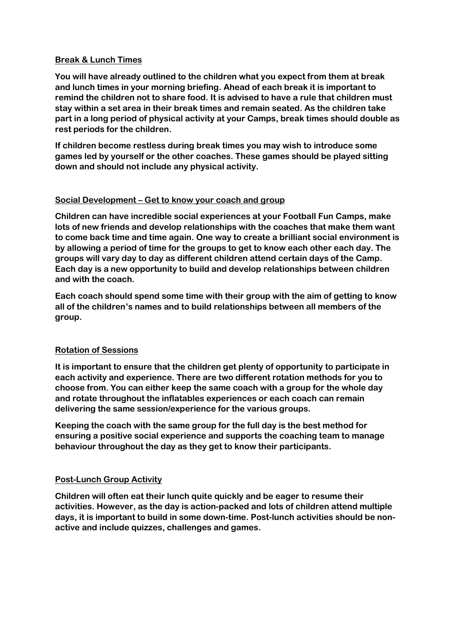#### **Break & Lunch Times**

**You will have already outlined to the children what you expect from them at break and lunch times in your morning briefing. Ahead of each break it is important to remind the children not to share food. It is advised to have a rule that children must stay within a set area in their break times and remain seated. As the children take part in a long period of physical activity at your Camps, break times should double as rest periods for the children.**

**If children become restless during break times you may wish to introduce some games led by yourself or the other coaches. These games should be played sitting down and should not include any physical activity.**

## **Social Development – Get to know your coach and group**

**Children can have incredible social experiences at your Football Fun Camps, make lots of new friends and develop relationships with the coaches that make them want to come back time and time again. One way to create a brilliant social environment is by allowing a period of time for the groups to get to know each other each day. The groups will vary day to day as different children attend certain days of the Camp. Each day is a new opportunity to build and develop relationships between children and with the coach.**

**Each coach should spend some time with their group with the aim of getting to know all of the children's names and to build relationships between all members of the group.**

## **Rotation of Sessions**

**It is important to ensure that the children get plenty of opportunity to participate in each activity and experience. There are two different rotation methods for you to choose from. You can either keep the same coach with a group for the whole day and rotate throughout the inflatables experiences or each coach can remain delivering the same session/experience for the various groups.**

**Keeping the coach with the same group for the full day is the best method for ensuring a positive social experience and supports the coaching team to manage behaviour throughout the day as they get to know their participants.**

## **Post-Lunch Group Activity**

**Children will often eat their lunch quite quickly and be eager to resume their activities. However, as the day is action-packed and lots of children attend multiple days, it is important to build in some down-time. Post-lunch activities should be nonactive and include quizzes, challenges and games.**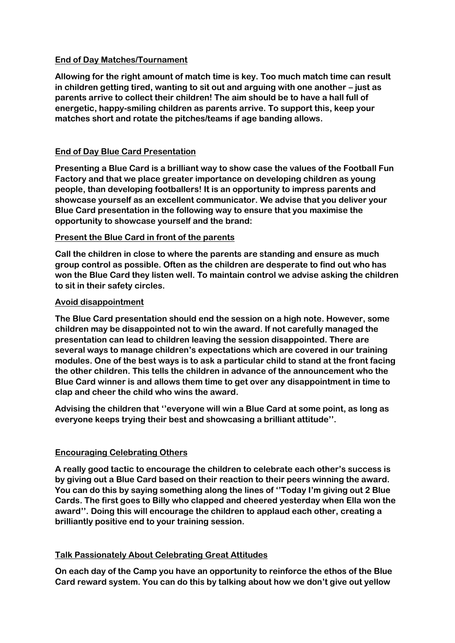#### **End of Day Matches/Tournament**

**Allowing for the right amount of match time is key. Too much match time can result in children getting tired, wanting to sit out and arguing with one another – just as parents arrive to collect their children! The aim should be to have a hall full of energetic, happy-smiling children as parents arrive. To support this, keep your matches short and rotate the pitches/teams if age banding allows.**

# **End of Day Blue Card Presentation**

**Presenting a Blue Card is a brilliant way to show case the values of the Football Fun Factory and that we place greater importance on developing children as young people, than developing footballers! It is an opportunity to impress parents and showcase yourself as an excellent communicator. We advise that you deliver your Blue Card presentation in the following way to ensure that you maximise the opportunity to showcase yourself and the brand:** 

## **Present the Blue Card in front of the parents**

**Call the children in close to where the parents are standing and ensure as much group control as possible. Often as the children are desperate to find out who has won the Blue Card they listen well. To maintain control we advise asking the children to sit in their safety circles.**

#### **Avoid disappointment**

**The Blue Card presentation should end the session on a high note. However, some children may be disappointed not to win the award. If not carefully managed the presentation can lead to children leaving the session disappointed. There are several ways to manage children's expectations which are covered in our training modules. One of the best ways is to ask a particular child to stand at the front facing the other children. This tells the children in advance of the announcement who the Blue Card winner is and allows them time to get over any disappointment in time to clap and cheer the child who wins the award.**

**Advising the children that ''everyone will win a Blue Card at some point, as long as everyone keeps trying their best and showcasing a brilliant attitude''.**

## **Encouraging Celebrating Others**

**A really good tactic to encourage the children to celebrate each other's success is by giving out a Blue Card based on their reaction to their peers winning the award. You can do this by saying something along the lines of ''Today I'm giving out 2 Blue Cards. The first goes to Billy who clapped and cheered yesterday when Ella won the award''. Doing this will encourage the children to applaud each other, creating a brilliantly positive end to your training session.**

## **Talk Passionately About Celebrating Great Attitudes**

**On each day of the Camp you have an opportunity to reinforce the ethos of the Blue Card reward system. You can do this by talking about how we don't give out yellow**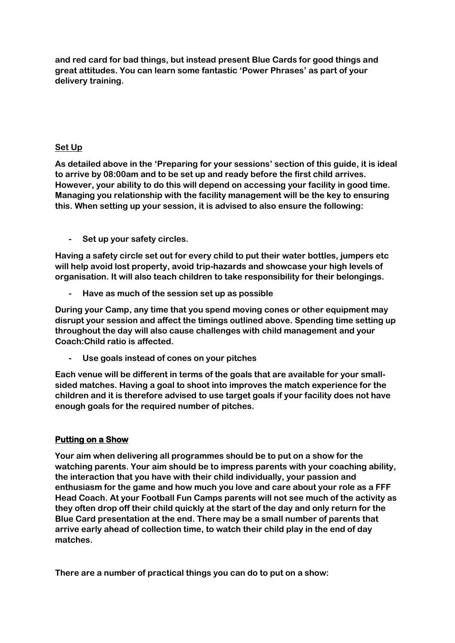**and red card for bad things, but instead present Blue Cards for good things and great attitudes. You can learn some fantastic 'Power Phrases' as part of your delivery training.**

#### **Set Up**

**As detailed above in the 'Preparing for your sessions' section of this guide, it is ideal to arrive by 08:00am and to be set up and ready before the first child arrives. However, your ability to do this will depend on accessing your facility in good time. Managing you relationship with the facility management will be the key to ensuring this. When setting up your session, it is advised to also ensure the following:**

**- Set up your safety circles.**

**Having a safety circle set out for every child to put their water bottles, jumpers etc will help avoid lost property, avoid trip-hazards and showcase your high levels of organisation. It will also teach children to take responsibility for their belongings.**

**- Have as much of the session set up as possible**

**During your Camp, any time that you spend moving cones or other equipment may disrupt your session and affect the timings outlined above. Spending time setting up throughout the day will also cause challenges with child management and your Coach:Child ratio is affected.**

**- Use goals instead of cones on your pitches**

**Each venue will be different in terms of the goals that are available for your smallsided matches. Having a goal to shoot into improves the match experience for the children and it is therefore advised to use target goals if your facility does not have enough goals for the required number of pitches.**

## **Putting on a Show**

**Your aim when delivering all programmes should be to put on a show for the watching parents. Your aim should be to impress parents with your coaching ability, the interaction that you have with their child individually, your passion and enthusiasm for the game and how much you love and care about your role as a FFF Head Coach. At your Football Fun Camps parents will not see much of the activity as they often drop off their child quickly at the start of the day and only return for the Blue Card presentation at the end. There may be a small number of parents that arrive early ahead of collection time, to watch their child play in the end of day matches.**

**There are a number of practical things you can do to put on a show:**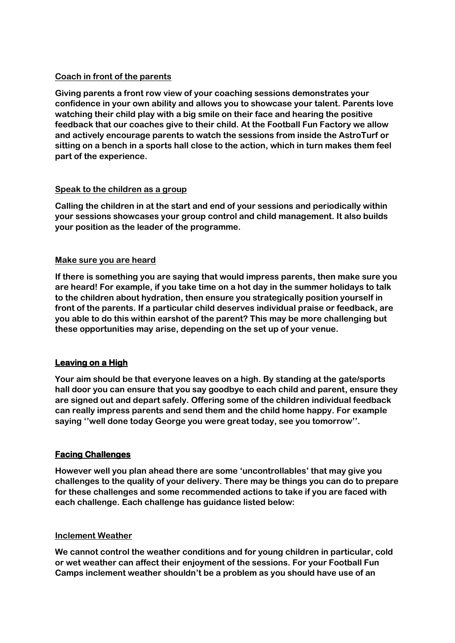## **Coach in front of the parents**

**Giving parents a front row view of your coaching sessions demonstrates your confidence in your own ability and allows you to showcase your talent. Parents love watching their child play with a big smile on their face and hearing the positive feedback that our coaches give to their child. At the Football Fun Factory we allow and actively encourage parents to watch the sessions from inside the AstroTurf or sitting on a bench in a sports hall close to the action, which in turn makes them feel part of the experience.** 

## **Speak to the children as a group**

**Calling the children in at the start and end of your sessions and periodically within your sessions showcases your group control and child management. It also builds your position as the leader of the programme.**

#### **Make sure you are heard**

**If there is something you are saying that would impress parents, then make sure you are heard! For example, if you take time on a hot day in the summer holidays to talk to the children about hydration, then ensure you strategically position yourself in front of the parents. If a particular child deserves individual praise or feedback, are you able to do this within earshot of the parent? This may be more challenging but these opportunities may arise, depending on the set up of your venue.**

## **Leaving on a High**

**Your aim should be that everyone leaves on a high. By standing at the gate/sports hall door you can ensure that you say goodbye to each child and parent, ensure they are signed out and depart safely. Offering some of the children individual feedback can really impress parents and send them and the child home happy. For example saying ''well done today George you were great today, see you tomorrow''.** 

## **Facing Challenges**

**However well you plan ahead there are some 'uncontrollables' that may give you challenges to the quality of your delivery. There may be things you can do to prepare for these challenges and some recommended actions to take if you are faced with each challenge. Each challenge has guidance listed below:**

#### **Inclement Weather**

**We cannot control the weather conditions and for young children in particular, cold or wet weather can affect their enjoyment of the sessions. For your Football Fun Camps inclement weather shouldn't be a problem as you should have use of an**